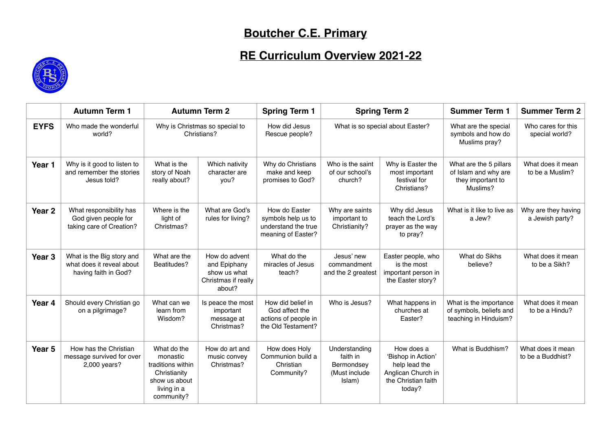## **Boutcher C.E. Primary**

## **RE Curriculum Overview 2021-22**



|                   | <b>Autumn Term 1</b>                                                           | <b>Autumn Term 2</b>                                                                                       |                                                                                | <b>Spring Term 1</b>                                                              | <b>Spring Term 2</b>                                               |                                                                                                          | <b>Summer Term 1</b>                                                            | <b>Summer Term 2</b>                   |
|-------------------|--------------------------------------------------------------------------------|------------------------------------------------------------------------------------------------------------|--------------------------------------------------------------------------------|-----------------------------------------------------------------------------------|--------------------------------------------------------------------|----------------------------------------------------------------------------------------------------------|---------------------------------------------------------------------------------|----------------------------------------|
| <b>EYFS</b>       | Who made the wonderful<br>world?                                               | Why is Christmas so special to<br>Christians?                                                              |                                                                                | How did Jesus<br>Rescue people?                                                   | What is so special about Easter?                                   |                                                                                                          | What are the special<br>symbols and how do<br>Muslims pray?                     | Who cares for this<br>special world?   |
| Year 1            | Why is it good to listen to<br>and remember the stories<br>Jesus told?         | What is the<br>story of Noah<br>really about?                                                              | Which nativity<br>character are<br>you?                                        | Why do Christians<br>make and keep<br>promises to God?                            | Who is the saint<br>of our school's<br>church?                     | Why is Easter the<br>most important<br>festival for<br>Christians?                                       | What are the 5 pillars<br>of Islam and why are<br>they important to<br>Muslims? | What does it mean<br>to be a Muslim?   |
| Year <sub>2</sub> | What responsibility has<br>God given people for<br>taking care of Creation?    | Where is the<br>light of<br>Christmas?                                                                     | What are God's<br>rules for living?                                            | How do Easter<br>symbols help us to<br>understand the true<br>meaning of Easter?  | Why are saints<br>important to<br>Christianity?                    | Why did Jesus<br>teach the Lord's<br>prayer as the way<br>to pray?                                       | What is it like to live as<br>a Jew?                                            | Why are they having<br>a Jewish party? |
| Year <sub>3</sub> | What is the Big story and<br>what does it reveal about<br>having faith in God? | What are the<br>Beatitudes?                                                                                | How do advent<br>and Epiphany<br>show us what<br>Christmas if really<br>about? | What do the<br>miracles of Jesus<br>teach?                                        | Jesus' new<br>commandment<br>and the 2 greatest                    | Easter people, who<br>is the most<br>important person in<br>the Easter story?                            | What do Sikhs<br>believe?                                                       | What does it mean<br>to be a Sikh?     |
| Year 4            | Should every Christian go<br>on a pilgrimage?                                  | What can we<br>learn from<br>Wisdom?                                                                       | Is peace the most<br>important<br>message at<br>Christmas?                     | How did belief in<br>God affect the<br>actions of people in<br>the Old Testament? | Who is Jesus?                                                      | What happens in<br>churches at<br>Easter?                                                                | What is the importance<br>of symbols, beliefs and<br>teaching in Hinduism?      | What does it mean<br>to be a Hindu?    |
| Year <sub>5</sub> | How has the Christian<br>message survived for over<br>2,000 years?             | What do the<br>monastic<br>traditions within<br>Christianity<br>show us about<br>living in a<br>community? | How do art and<br>music convey<br>Christmas?                                   | How does Holy<br>Communion build a<br>Christian<br>Community?                     | Understanding<br>faith in<br>Bermondsey<br>(Must include<br>Islam) | How does a<br>'Bishop in Action'<br>help lead the<br>Anglican Church in<br>the Christian faith<br>today? | What is Buddhism?                                                               | What does it mean<br>to be a Buddhist? |